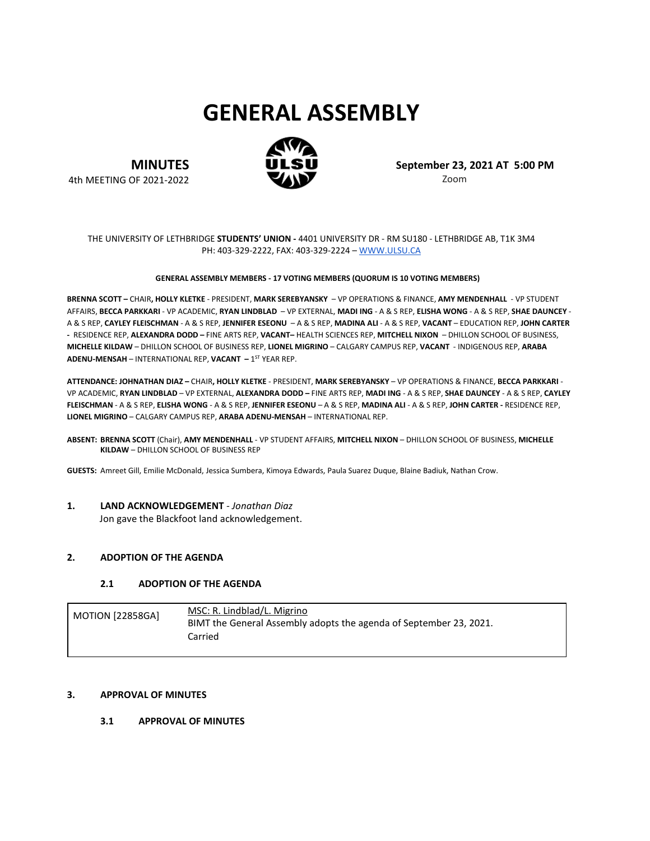# **GENERAL ASSEMBLY**



**MINUTES** 4th MEETING OF 2021-2022 **September 23, 2021 AT 5:00 PM** Zoom

#### THE UNIVERSITY OF LETHBRIDGE **STUDENTS' UNION -** 4401 UNIVERSITY DR - RM SU180 - LETHBRIDGE AB, T1K 3M4 PH: 403-329-2222, FAX: 403-329-2224 – [WWW.ULSU.CA](http://www.ulsu.ca/)

#### **GENERAL ASSEMBLY MEMBERS - 17 VOTING MEMBERS (QUORUM IS 10 VOTING MEMBERS)**

**BRENNA SCOTT –** CHAIR**, HOLLY KLETKE** - PRESIDENT, **MARK SEREBYANSKY** – VP OPERATIONS & FINANCE, **AMY MENDENHALL** - VP STUDENT AFFAIRS, **BECCA PARKKARI** - VP ACADEMIC, **RYAN LINDBLAD** – VP EXTERNAL, **MADI ING** - A & S REP, **ELISHA WONG** - A & S REP, **SHAE DAUNCEY** - A & S REP, **CAYLEY FLEISCHMAN** - A & S REP, **JENNIFER ESEONU** – A & S REP, **MADINA ALI** - A & S REP, **VACANT** – EDUCATION REP, **JOHN CARTER -** RESIDENCE REP, **ALEXANDRA DODD –** FINE ARTS REP, **VACANT–** HEALTH SCIENCES REP, **MITCHELL NIXON** – DHILLON SCHOOL OF BUSINESS, **MICHELLE KILDAW** – DHILLON SCHOOL OF BUSINESS REP, **LIONEL MIGRINO** – CALGARY CAMPUS REP, **VACANT** - INDIGENOUS REP, **ARABA ADENU-MENSAH – INTERNATIONAL REP, VACANT – 1<sup>ST</sup> YEAR REP.** 

**ATTENDANCE: JOHNATHAN DIAZ –** CHAIR**, HOLLY KLETKE** - PRESIDENT, **MARK SEREBYANSKY** – VP OPERATIONS & FINANCE, **BECCA PARKKARI** - VP ACADEMIC, **RYAN LINDBLAD** – VP EXTERNAL, **ALEXANDRA DODD –** FINE ARTS REP, **MADI ING** - A & S REP, **SHAE DAUNCEY** - A & S REP, **CAYLEY FLEISCHMAN** - A & S REP, **ELISHA WONG** - A & S REP, **JENNIFER ESEONU** – A & S REP, **MADINA ALI** - A & S REP, **JOHN CARTER -** RESIDENCE REP, **LIONEL MIGRINO** – CALGARY CAMPUS REP, **ARABA ADENU-MENSAH** – INTERNATIONAL REP.

**ABSENT: BRENNA SCOTT** (Chair), **AMY MENDENHALL** - VP STUDENT AFFAIRS, **MITCHELL NIXON** – DHILLON SCHOOL OF BUSINESS, **MICHELLE KILDAW** – DHILLON SCHOOL OF BUSINESS REP

**GUESTS:** Amreet Gill, Emilie McDonald, Jessica Sumbera, Kimoya Edwards, Paula Suarez Duque, Blaine Badiuk, Nathan Crow.

**1. LAND ACKNOWLEDGEMENT** *- Jonathan Diaz* Jon gave the Blackfoot land acknowledgement.

#### **2. ADOPTION OF THE AGENDA**

#### **2.1 ADOPTION OF THE AGENDA**

| <b>MOTION [22858GA]</b> | MSC: R. Lindblad/L. Migrino<br>BIMT the General Assembly adopts the agenda of September 23, 2021.<br>Carried |
|-------------------------|--------------------------------------------------------------------------------------------------------------|
|                         |                                                                                                              |

#### **3. APPROVAL OF MINUTES**

#### **3.1 APPROVAL OF MINUTES**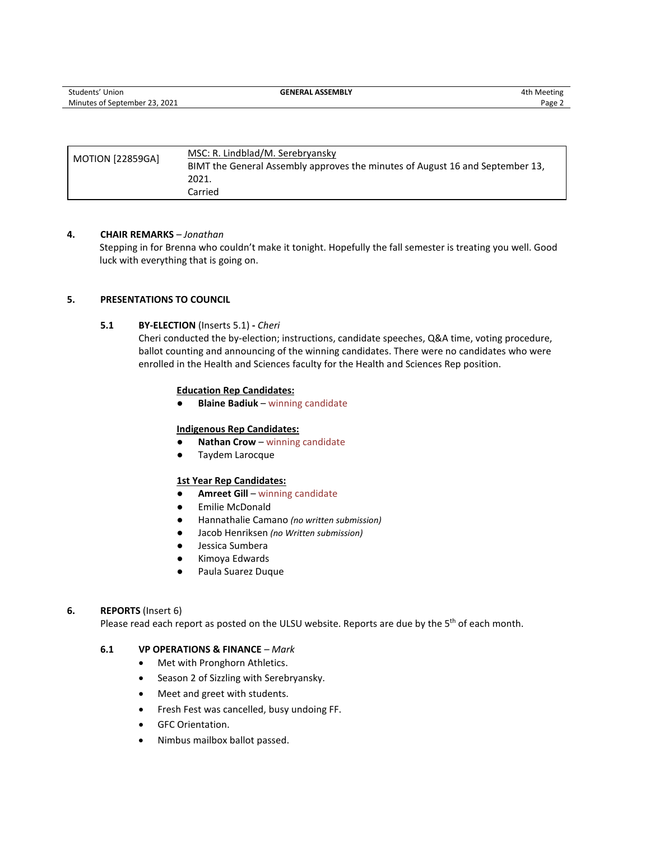| <b>MOTION [22859GA]</b> | MSC: R. Lindblad/M. Serebryansky<br>BIMT the General Assembly approves the minutes of August 16 and September 13, |
|-------------------------|-------------------------------------------------------------------------------------------------------------------|
|                         | 2021.                                                                                                             |
|                         | Carried                                                                                                           |

#### **4. CHAIR REMARKS** *– Jonathan*

Stepping in for Brenna who couldn't make it tonight. Hopefully the fall semester is treating you well. Good luck with everything that is going on.

#### **5. PRESENTATIONS TO COUNCIL**

#### **5.1 BY-ELECTION** (Inserts 5.1) **-** *Cheri*

Cheri conducted the by-election; instructions, candidate speeches, Q&A time, voting procedure, ballot counting and announcing of the winning candidates. There were no candidates who were enrolled in the Health and Sciences faculty for the Health and Sciences Rep position.

#### **Education Rep Candidates:**

● **Blaine Badiuk** – winning candidate

#### **Indigenous Rep Candidates:**

- **Nathan Crow** winning candidate
- Taydem Larocque

#### **1st Year Rep Candidates:**

- **Amreet Gill** winning candidate
- Emilie McDonald
- Hannathalie Camano *(no written submission)*
- Jacob Henriksen *(no Written submission)*
- Jessica Sumbera
- Kimoya Edwards
- Paula Suarez Duque

#### **6. REPORTS** (Insert 6)

Please read each report as posted on the ULSU website. Reports are due by the 5<sup>th</sup> of each month.

## **6.1 VP OPERATIONS & FINANCE** *– Mark*

- Met with Pronghorn Athletics.
- Season 2 of Sizzling with Serebryansky.
- Meet and greet with students.
- Fresh Fest was cancelled, busy undoing FF.
- GFC Orientation.
- Nimbus mailbox ballot passed.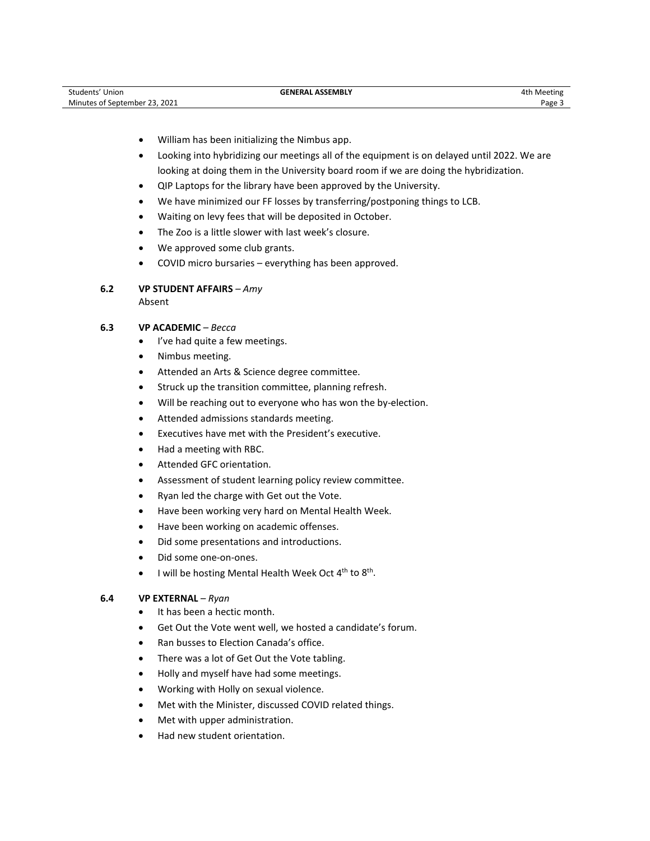- William has been initializing the Nimbus app.
- Looking into hybridizing our meetings all of the equipment is on delayed until 2022. We are looking at doing them in the University board room if we are doing the hybridization.
- QIP Laptops for the library have been approved by the University.
- We have minimized our FF losses by transferring/postponing things to LCB.
- Waiting on levy fees that will be deposited in October.
- The Zoo is a little slower with last week's closure.
- We approved some club grants.
- COVID micro bursaries everything has been approved.

# **6.2 VP STUDENT AFFAIRS** *– Amy*

Absent

# **6.3 VP ACADEMIC** *– Becca*

- I've had quite a few meetings.
- Nimbus meeting.
- Attended an Arts & Science degree committee.
- Struck up the transition committee, planning refresh.
- Will be reaching out to everyone who has won the by-election.
- Attended admissions standards meeting.
- Executives have met with the President's executive.
- Had a meeting with RBC.
- Attended GFC orientation.
- Assessment of student learning policy review committee.
- Ryan led the charge with Get out the Vote.
- Have been working very hard on Mental Health Week.
- Have been working on academic offenses.
- Did some presentations and introductions.
- Did some one-on-ones.
- I will be hosting Mental Health Week Oct 4<sup>th</sup> to 8<sup>th</sup>.

#### **6.4 VP EXTERNAL** *– Ryan*

- It has been a hectic month.
- Get Out the Vote went well, we hosted a candidate's forum.
- Ran busses to Election Canada's office.
- There was a lot of Get Out the Vote tabling.
- Holly and myself have had some meetings.
- Working with Holly on sexual violence.
- Met with the Minister, discussed COVID related things.
- Met with upper administration.
- Had new student orientation.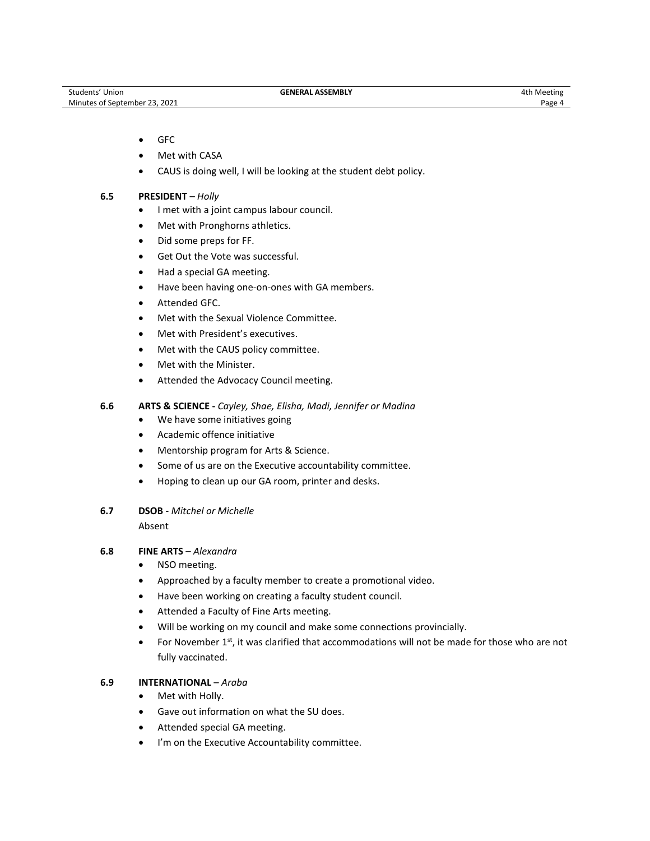#### • GFC

- Met with CASA
- CAUS is doing well, I will be looking at the student debt policy.

#### **6.5 PRESIDENT** *– Holly*

- I met with a joint campus labour council.
- Met with Pronghorns athletics.
- Did some preps for FF.
- Get Out the Vote was successful.
- Had a special GA meeting.
- Have been having one-on-ones with GA members.
- Attended GFC.
- Met with the Sexual Violence Committee.
- Met with President's executives.
- Met with the CAUS policy committee.
- Met with the Minister.
- Attended the Advocacy Council meeting.

#### **6.6 ARTS & SCIENCE -** *Cayley, Shae, Elisha, Madi, Jennifer or Madina*

- We have some initiatives going
- Academic offence initiative
- Mentorship program for Arts & Science.
- Some of us are on the Executive accountability committee.
- Hoping to clean up our GA room, printer and desks.

#### **6.7 DSOB** - *Mitchel or Michelle*

Absent

#### **6.8 FINE ARTS** – *Alexandra*

- NSO meeting.
- Approached by a faculty member to create a promotional video.
- Have been working on creating a faculty student council.
- Attended a Faculty of Fine Arts meeting.
- Will be working on my council and make some connections provincially.
- For November  $1<sup>st</sup>$ , it was clarified that accommodations will not be made for those who are not fully vaccinated.

#### **6.9 INTERNATIONAL** – *Araba*

- Met with Holly.
- Gave out information on what the SU does.
- Attended special GA meeting.
- I'm on the Executive Accountability committee.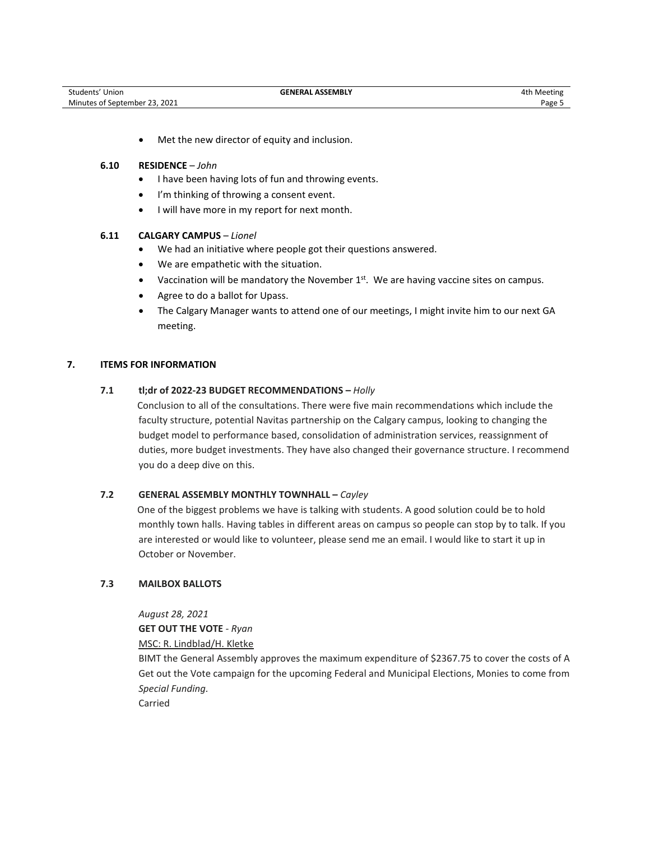• Met the new director of equity and inclusion.

#### **6.10 RESIDENCE** – *John*

- I have been having lots of fun and throwing events.
- I'm thinking of throwing a consent event.
- I will have more in my report for next month.

#### **6.11 CALGARY CAMPUS** – *Lionel*

- We had an initiative where people got their questions answered.
- We are empathetic with the situation.
- Vaccination will be mandatory the November 1<sup>st</sup>. We are having vaccine sites on campus.
- Agree to do a ballot for Upass.
- The Calgary Manager wants to attend one of our meetings, I might invite him to our next GA meeting.

#### **7. ITEMS FOR INFORMATION**

#### **7.1 tl;dr of 2022-23 BUDGET RECOMMENDATIONS –** *Holly*

Conclusion to all of the consultations. There were five main recommendations which include the faculty structure, potential Navitas partnership on the Calgary campus, looking to changing the budget model to performance based, consolidation of administration services, reassignment of duties, more budget investments. They have also changed their governance structure. I recommend you do a deep dive on this.

#### **7.2 GENERAL ASSEMBLY MONTHLY TOWNHALL –** *Cayley*

One of the biggest problems we have is talking with students. A good solution could be to hold monthly town halls. Having tables in different areas on campus so people can stop by to talk. If you are interested or would like to volunteer, please send me an email. I would like to start it up in October or November.

#### **7.3 MAILBOX BALLOTS**

*August 28, 2021*

**GET OUT THE VOTE** *- Ryan*

MSC: R. Lindblad/H. Kletke

BIMT the General Assembly approves the maximum expenditure of \$2367.75 to cover the costs of A Get out the Vote campaign for the upcoming Federal and Municipal Elections, Monies to come from *Special Funding.* 

Carried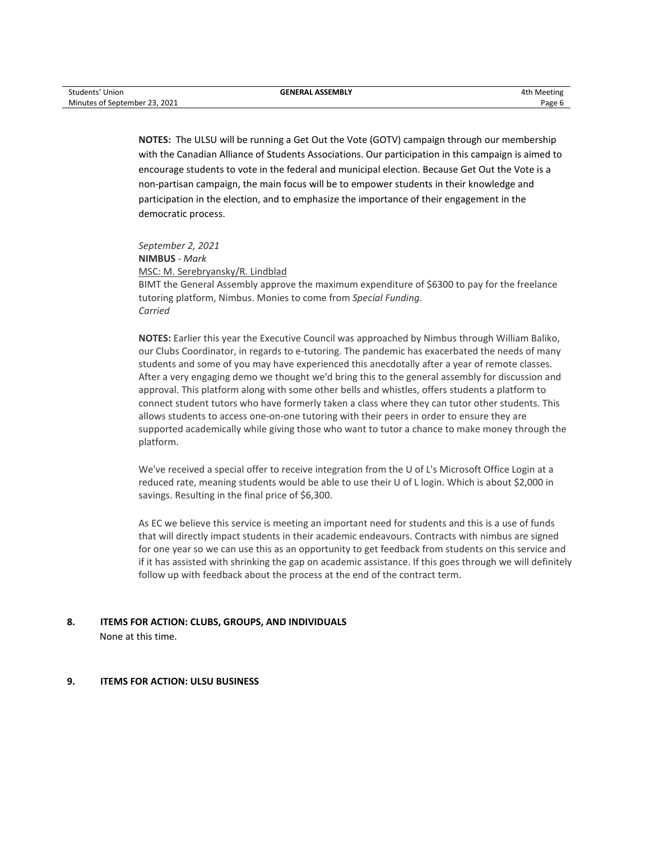**NOTES:** The ULSU will be running a Get Out the Vote (GOTV) campaign through our membership with the Canadian Alliance of Students Associations. Our participation in this campaign is aimed to encourage students to vote in the federal and municipal election. Because Get Out the Vote is a non-partisan campaign, the main focus will be to empower students in their knowledge and participation in the election, and to emphasize the importance of their engagement in the democratic process.

*September 2, 2021* **NIMBUS** *- Mark* MSC: M. Serebryansky/R. Lindblad BIMT the General Assembly approve the maximum expenditure of \$6300 to pay for the freelance tutoring platform, Nimbus. Monies to come from *Special Funding. Carried*

**NOTES:** Earlier this year the Executive Council was approached by Nimbus through William Baliko, our Clubs Coordinator, in regards to e-tutoring. The pandemic has exacerbated the needs of many students and some of you may have experienced this anecdotally after a year of remote classes. After a very engaging demo we thought we'd bring this to the general assembly for discussion and approval. This platform along with some other bells and whistles, offers students a platform to connect student tutors who have formerly taken a class where they can tutor other students. This allows students to access one-on-one tutoring with their peers in order to ensure they are supported academically while giving those who want to tutor a chance to make money through the platform.

We've received a special offer to receive integration from the U of L's Microsoft Office Login at a reduced rate, meaning students would be able to use their U of L login. Which is about \$2,000 in savings. Resulting in the final price of \$6,300.

As EC we believe this service is meeting an important need for students and this is a use of funds that will directly impact students in their academic endeavours. Contracts with nimbus are signed for one year so we can use this as an opportunity to get feedback from students on this service and if it has assisted with shrinking the gap on academic assistance. If this goes through we will definitely follow up with feedback about the process at the end of the contract term.

# **8. ITEMS FOR ACTION: CLUBS, GROUPS, AND INDIVIDUALS**

None at this time.

#### **9. ITEMS FOR ACTION: ULSU BUSINESS**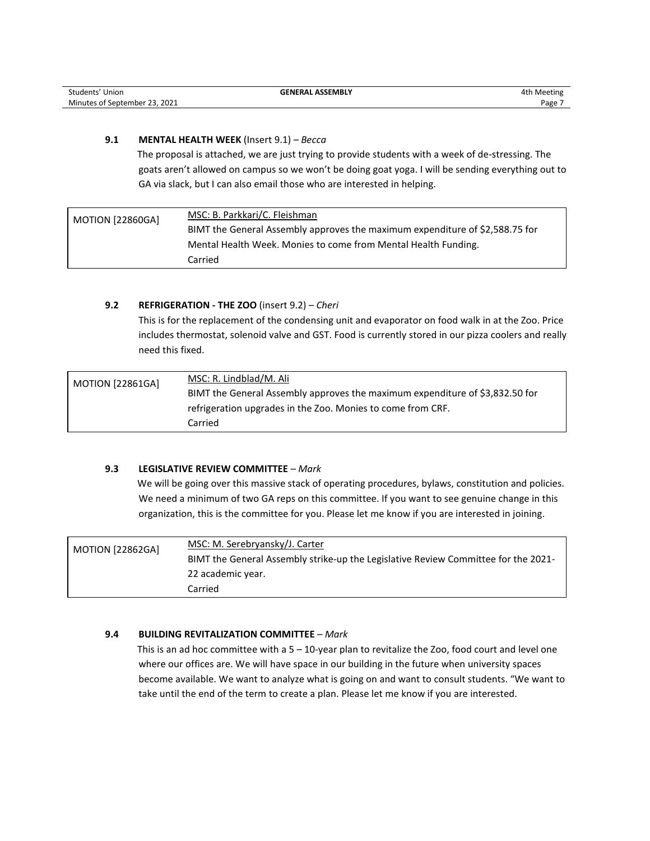| Students' Union               | <b>GENERAL ASSEMBLY</b> | 4th Meeting |
|-------------------------------|-------------------------|-------------|
| Minutes of September 23, 2021 |                         | Page        |

### **9.1 MENTAL HEALTH WEEK** (Insert 9.1) *– Becca*

The proposal is attached, we are just trying to provide students with a week of de-stressing. The goats aren't allowed on campus so we won't be doing goat yoga. I will be sending everything out to GA via slack, but I can also email those who are interested in helping.

| <b>MOTION [22860GA]</b> | MSC: B. Parkkari/C. Fleishman                                                |
|-------------------------|------------------------------------------------------------------------------|
|                         | BIMT the General Assembly approves the maximum expenditure of \$2,588.75 for |
|                         | Mental Health Week. Monies to come from Mental Health Funding.               |
|                         | Carried                                                                      |

#### **9.2 REFRIGERATION - THE ZOO** (insert 9.2) *– Cheri*

This is for the replacement of the condensing unit and evaporator on food walk in at the Zoo. Price includes thermostat, solenoid valve and GST. Food is currently stored in our pizza coolers and really need this fixed.

| <b>MOTION [22861GA]</b> | MSC: R. Lindblad/M. Ali                                                      |
|-------------------------|------------------------------------------------------------------------------|
|                         | BIMT the General Assembly approves the maximum expenditure of \$3,832.50 for |
|                         | refrigeration upgrades in the Zoo. Monies to come from CRF.                  |
|                         | Carried                                                                      |

#### **9.3 LEGISLATIVE REVIEW COMMITTEE** *– Mark*

We will be going over this massive stack of operating procedures, bylaws, constitution and policies. We need a minimum of two GA reps on this committee. If you want to see genuine change in this organization, this is the committee for you. Please let me know if you are interested in joining.

| <b>MOTION [22862GA]</b> | MSC: M. Serebryansky/J. Carter                                                     |
|-------------------------|------------------------------------------------------------------------------------|
|                         | BIMT the General Assembly strike-up the Legislative Review Committee for the 2021- |
|                         | 22 academic year.                                                                  |
|                         | Carried                                                                            |

#### **9.4 BUILDING REVITALIZATION COMMITTEE** *– Mark*

This is an ad hoc committee with a  $5 - 10$ -year plan to revitalize the Zoo, food court and level one where our offices are. We will have space in our building in the future when university spaces become available. We want to analyze what is going on and want to consult students. "We want to take until the end of the term to create a plan. Please let me know if you are interested.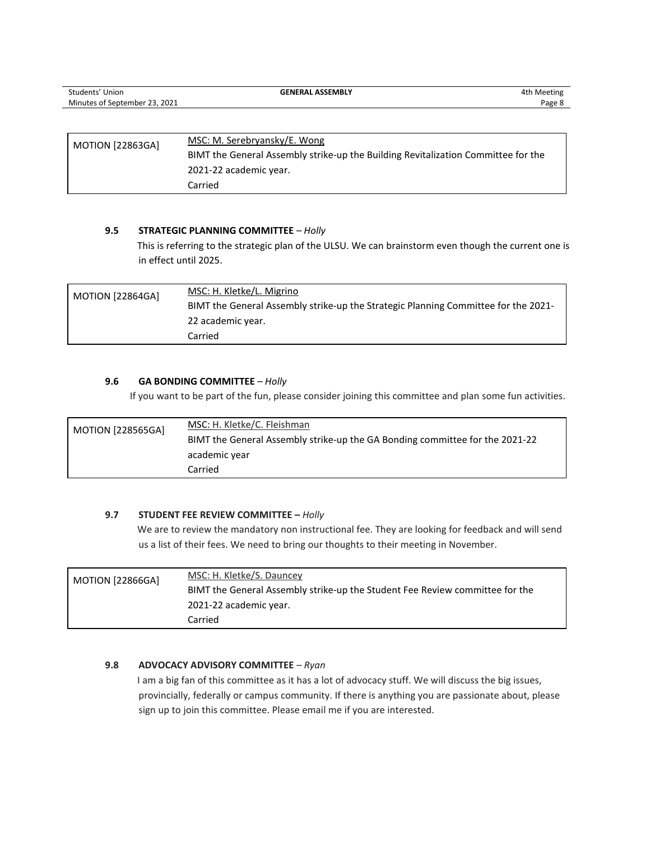| Students' Union               | <b>GENERAL ASSEMBLY</b>                                                           | 4th Meeting |
|-------------------------------|-----------------------------------------------------------------------------------|-------------|
| Minutes of September 23, 2021 |                                                                                   | Page 8      |
|                               |                                                                                   |             |
| <b>MOTION [22863GA]</b>       | MSC: M. Serebryansky/E. Wong                                                      |             |
|                               | BIMT the General Assembly strike-up the Building Revitalization Committee for the |             |
|                               | 2021-22 academic year.                                                            |             |
|                               | Carried                                                                           |             |

#### **9.5 STRATEGIC PLANNING COMMITTEE** *– Holly*

This is referring to the strategic plan of the ULSU. We can brainstorm even though the current one is in effect until 2025.

| <b>MOTION [22864GA]</b> | MSC: H. Kletke/L. Migrino                                                          |
|-------------------------|------------------------------------------------------------------------------------|
|                         | BIMT the General Assembly strike-up the Strategic Planning Committee for the 2021- |
|                         | 22 academic year.                                                                  |
|                         | Carried                                                                            |

#### **9.6 GA BONDING COMMITTEE** *– Holly*

If you want to be part of the fun, please consider joining this committee and plan some fun activities.

| <b>MOTION [228565GA]</b> | MSC: H. Kletke/C. Fleishman                                                  |
|--------------------------|------------------------------------------------------------------------------|
|                          | BIMT the General Assembly strike-up the GA Bonding committee for the 2021-22 |
|                          | academic year                                                                |
|                          | Carried                                                                      |

#### **9.7 STUDENT FEE REVIEW COMMITTEE –** *Holly*

We are to review the mandatory non instructional fee. They are looking for feedback and will send us a list of their fees. We need to bring our thoughts to their meeting in November.

| <b>MOTION [22866GA]</b> | MSC: H. Kletke/S. Dauncey                                                    |
|-------------------------|------------------------------------------------------------------------------|
|                         | BIMT the General Assembly strike-up the Student Fee Review committee for the |
|                         | 2021-22 academic year.                                                       |
|                         | Carried                                                                      |

#### **9.8 ADVOCACY ADVISORY COMMITTEE** *– Ryan*

I am a big fan of this committee as it has a lot of advocacy stuff. We will discuss the big issues, provincially, federally or campus community. If there is anything you are passionate about, please sign up to join this committee. Please email me if you are interested.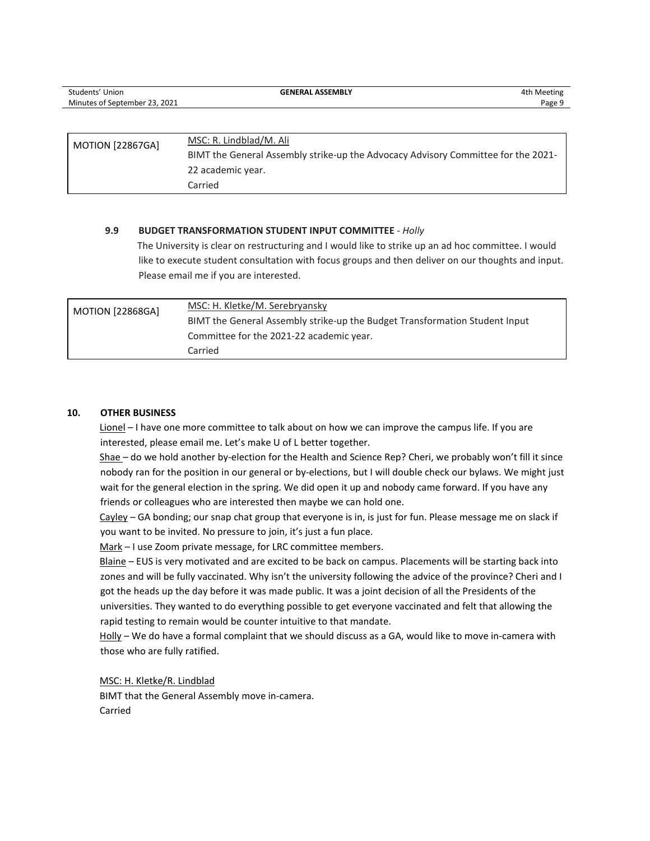| Students' Union               | <b>GENERAL ASSEMBLY</b>                                                           | 4th Meeting |
|-------------------------------|-----------------------------------------------------------------------------------|-------------|
| Minutes of September 23, 2021 |                                                                                   | Page 9      |
|                               |                                                                                   |             |
|                               |                                                                                   |             |
| <b>MOTION [22867GA]</b>       | MSC: R. Lindblad/M. Ali                                                           |             |
|                               | BIMT the General Assembly strike-up the Advocacy Advisory Committee for the 2021- |             |
|                               | 22 academic year.                                                                 |             |
|                               | Carried                                                                           |             |

#### **9.9 BUDGET TRANSFORMATION STUDENT INPUT COMMITTEE** *- Holly*

The University is clear on restructuring and I would like to strike up an ad hoc committee. I would like to execute student consultation with focus groups and then deliver on our thoughts and input. Please email me if you are interested.

| <b>MOTION [22868GA]</b> | MSC: H. Kletke/M. Serebryansky                                              |
|-------------------------|-----------------------------------------------------------------------------|
|                         | BIMT the General Assembly strike-up the Budget Transformation Student Input |
|                         | Committee for the 2021-22 academic year.                                    |
|                         | Carried                                                                     |

#### **10. OTHER BUSINESS**

Lionel – I have one more committee to talk about on how we can improve the campus life. If you are interested, please email me. Let's make U of L better together.

Shae – do we hold another by-election for the Health and Science Rep? Cheri, we probably won't fill it since nobody ran for the position in our general or by-elections, but I will double check our bylaws. We might just wait for the general election in the spring. We did open it up and nobody came forward. If you have any friends or colleagues who are interested then maybe we can hold one.

Cayley – GA bonding; our snap chat group that everyone is in, is just for fun. Please message me on slack if you want to be invited. No pressure to join, it's just a fun place.

Mark – I use Zoom private message, for LRC committee members.

Blaine – EUS is very motivated and are excited to be back on campus. Placements will be starting back into zones and will be fully vaccinated. Why isn't the university following the advice of the province? Cheri and I got the heads up the day before it was made public. It was a joint decision of all the Presidents of the universities. They wanted to do everything possible to get everyone vaccinated and felt that allowing the rapid testing to remain would be counter intuitive to that mandate.

Holly - We do have a formal complaint that we should discuss as a GA, would like to move in-camera with those who are fully ratified.

MSC: H. Kletke/R. Lindblad BIMT that the General Assembly move in-camera. Carried